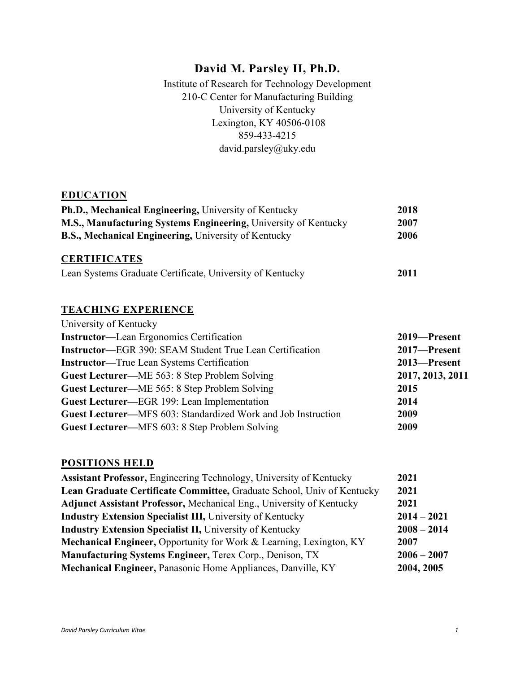# **David M. Parsley II, Ph.D.**

Institute of Research for Technology Development 210-C Center for Manufacturing Building University of Kentucky Lexington, KY 40506-0108 859-433-4215 david.parsley@uky.edu

#### **EDUCATION**

| <b>Ph.D., Mechanical Engineering, University of Kentucky</b>    |      |
|-----------------------------------------------------------------|------|
| M.S., Manufacturing Systems Engineering, University of Kentucky | 2007 |
| <b>B.S., Mechanical Engineering, University of Kentucky</b>     | 2006 |

# **CERTIFICATES**

| Lean Systems Graduate Certificate, University of Kentucky |  | 2011 |
|-----------------------------------------------------------|--|------|
|-----------------------------------------------------------|--|------|

### **TEACHING EXPERIENCE**

| University of Kentucky                                          |                  |
|-----------------------------------------------------------------|------------------|
| <b>Instructor—Lean Ergonomics Certification</b>                 | 2019-Present     |
| <b>Instructor—EGR 390: SEAM Student True Lean Certification</b> | 2017-Present     |
| <b>Instructor—True Lean Systems Certification</b>               | 2013-Present     |
| Guest Lecturer—ME 563: 8 Step Problem Solving                   | 2017, 2013, 2011 |
| Guest Lecturer—ME 565: 8 Step Problem Solving                   | 2015             |
| Guest Lecturer-EGR 199: Lean Implementation                     | 2014             |
| Guest Lecturer-MFS 603: Standardized Work and Job Instruction   | 2009             |
| Guest Lecturer—MFS 603: 8 Step Problem Solving                  | 2009             |

# **POSITIONS HELD**

| <b>Assistant Professor, Engineering Technology, University of Kentucky</b>     | 2021          |
|--------------------------------------------------------------------------------|---------------|
| Lean Graduate Certificate Committee, Graduate School, Univ of Kentucky         | 2021          |
| <b>Adjunct Assistant Professor, Mechanical Eng., University of Kentucky</b>    | 2021          |
| <b>Industry Extension Specialist III, University of Kentucky</b>               | $2014 - 2021$ |
| <b>Industry Extension Specialist II, University of Kentucky</b>                | $2008 - 2014$ |
| <b>Mechanical Engineer, Opportunity for Work &amp; Learning, Lexington, KY</b> | 2007          |
| Manufacturing Systems Engineer, Terex Corp., Denison, TX                       | $2006 - 2007$ |
| Mechanical Engineer, Panasonic Home Appliances, Danville, KY                   | 2004, 2005    |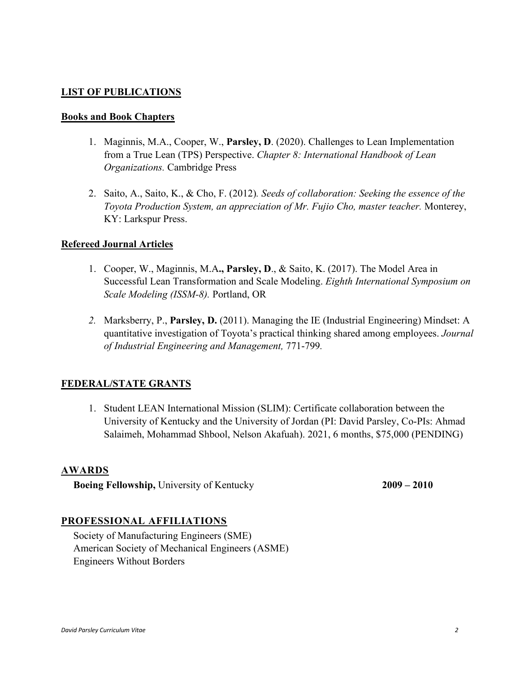### **LIST OF PUBLICATIONS**

#### **Books and Book Chapters**

- 1. Maginnis, M.A., Cooper, W., **Parsley, D**. (2020). Challenges to Lean Implementation from a True Lean (TPS) Perspective. *Chapter 8: International Handbook of Lean Organizations.* Cambridge Press
- 2. Saito, A., Saito, K., & Cho, F. (2012)*. Seeds of collaboration: Seeking the essence of the Toyota Production System, an appreciation of Mr. Fujio Cho, master teacher.* Monterey, KY: Larkspur Press.

#### **Refereed Journal Articles**

- 1. Cooper, W., Maginnis, M.A**., Parsley, D**., & Saito, K. (2017). The Model Area in Successful Lean Transformation and Scale Modeling. *Eighth International Symposium on Scale Modeling (ISSM-8).* Portland, OR
- *2.* Marksberry, P., **Parsley, D.** (2011). Managing the IE (Industrial Engineering) Mindset: A quantitative investigation of Toyota's practical thinking shared among employees. *Journal of Industrial Engineering and Management,* 771-799*.*

#### **FEDERAL/STATE GRANTS**

1. Student LEAN International Mission (SLIM): Certificate collaboration between the University of Kentucky and the University of Jordan (PI: David Parsley, Co-PIs: Ahmad Salaimeh, Mohammad Shbool, Nelson Akafuah). 2021, 6 months, \$75,000 (PENDING)

#### **AWARDS**

**Boeing Fellowship,** University of Kentucky **2009 – 2010**

#### **PROFESSIONAL AFFILIATIONS**

Society of Manufacturing Engineers (SME) American Society of Mechanical Engineers (ASME) Engineers Without Borders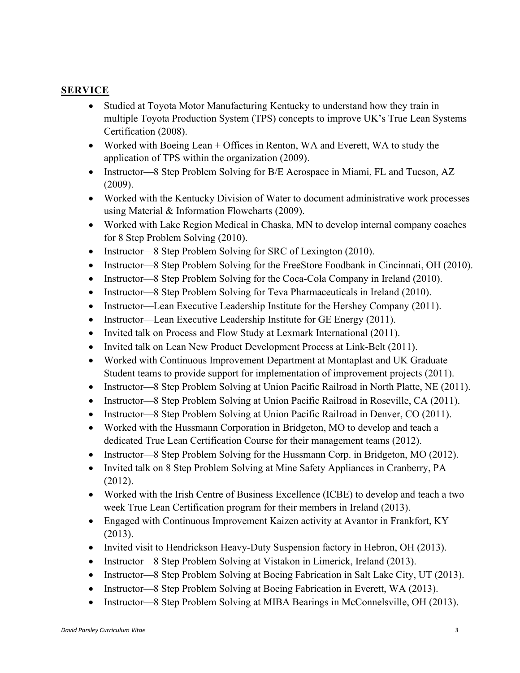## **SERVICE**

- Studied at Toyota Motor Manufacturing Kentucky to understand how they train in multiple Toyota Production System (TPS) concepts to improve UK's True Lean Systems Certification (2008).
- Worked with Boeing Lean + Offices in Renton, WA and Everett, WA to study the application of TPS within the organization (2009).
- Instructor—8 Step Problem Solving for B/E Aerospace in Miami, FL and Tucson, AZ (2009).
- Worked with the Kentucky Division of Water to document administrative work processes using Material & Information Flowcharts (2009).
- Worked with Lake Region Medical in Chaska, MN to develop internal company coaches for 8 Step Problem Solving (2010).
- Instructor—8 Step Problem Solving for SRC of Lexington (2010).
- Instructor—8 Step Problem Solving for the FreeStore Foodbank in Cincinnati, OH (2010).
- Instructor—8 Step Problem Solving for the Coca-Cola Company in Ireland (2010).
- Instructor—8 Step Problem Solving for Teva Pharmaceuticals in Ireland (2010).
- Instructor—Lean Executive Leadership Institute for the Hershey Company (2011).
- Instructor—Lean Executive Leadership Institute for GE Energy (2011).
- Invited talk on Process and Flow Study at Lexmark International (2011).
- Invited talk on Lean New Product Development Process at Link-Belt (2011).
- Worked with Continuous Improvement Department at Montaplast and UK Graduate Student teams to provide support for implementation of improvement projects (2011).
- Instructor—8 Step Problem Solving at Union Pacific Railroad in North Platte, NE (2011).
- Instructor—8 Step Problem Solving at Union Pacific Railroad in Roseville, CA (2011).
- Instructor—8 Step Problem Solving at Union Pacific Railroad in Denver, CO (2011).
- Worked with the Hussmann Corporation in Bridgeton, MO to develop and teach a dedicated True Lean Certification Course for their management teams (2012).
- Instructor—8 Step Problem Solving for the Hussmann Corp. in Bridgeton, MO (2012).
- Invited talk on 8 Step Problem Solving at Mine Safety Appliances in Cranberry, PA (2012).
- Worked with the Irish Centre of Business Excellence (ICBE) to develop and teach a two week True Lean Certification program for their members in Ireland (2013).
- Engaged with Continuous Improvement Kaizen activity at Avantor in Frankfort, KY (2013).
- Invited visit to Hendrickson Heavy-Duty Suspension factory in Hebron, OH (2013).
- Instructor—8 Step Problem Solving at Vistakon in Limerick, Ireland (2013).
- Instructor—8 Step Problem Solving at Boeing Fabrication in Salt Lake City, UT (2013).
- Instructor—8 Step Problem Solving at Boeing Fabrication in Everett, WA (2013).
- Instructor—8 Step Problem Solving at MIBA Bearings in McConnelsville, OH (2013).